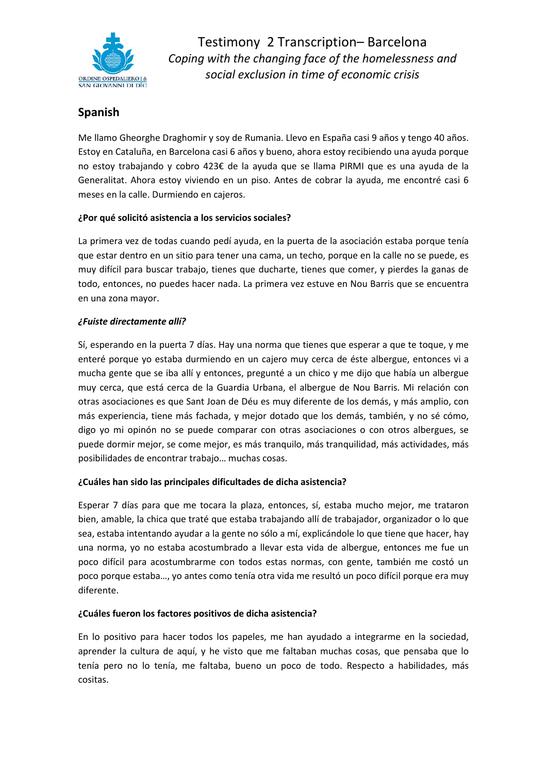

# **Spanish**

Me llamo Gheorghe Draghomir y soy de Rumania. Llevo en España casi 9 años y tengo 40 años. Estoy en Cataluña, en Barcelona casi 6 años y bueno, ahora estoy recibiendo una ayuda porque no estoy trabajando y cobro 423€ de la ayuda que se llama PIRMI que es una ayuda de la Generalitat. Ahora estoy viviendo en un piso. Antes de cobrar la ayuda, me encontré casi 6 meses en la calle. Durmiendo en cajeros.

## **¿Por qué solicitó asistencia a los servicios sociales?**

La primera vez de todas cuando pedí ayuda, en la puerta de la asociación estaba porque tenía que estar dentro en un sitio para tener una cama, un techo, porque en la calle no se puede, es muy difícil para buscar trabajo, tienes que ducharte, tienes que comer, y pierdes la ganas de todo, entonces, no puedes hacer nada. La primera vez estuve en Nou Barris que se encuentra en una zona mayor.

## *¿Fuiste directamente allí?*

Sí, esperando en la puerta 7 días. Hay una norma que tienes que esperar a que te toque, y me enteré porque yo estaba durmiendo en un cajero muy cerca de éste albergue, entonces vi a mucha gente que se iba allí y entonces, pregunté a un chico y me dijo que había un albergue muy cerca, que está cerca de la Guardia Urbana, el albergue de Nou Barris. Mi relación con otras asociaciones es que Sant Joan de Déu es muy diferente de los demás, y más amplio, con más experiencia, tiene más fachada, y mejor dotado que los demás, también, y no sé cómo, digo yo mi opinón no se puede comparar con otras asociaciones o con otros albergues, se puede dormir mejor, se come mejor, es más tranquilo, más tranquilidad, más actividades, más posibilidades de encontrar trabajo… muchas cosas.

## **¿Cuáles han sido las principales dificultades de dicha asistencia?**

Esperar 7 días para que me tocara la plaza, entonces, sí, estaba mucho mejor, me trataron bien, amable, la chica que traté que estaba trabajando allí de trabajador, organizador o lo que sea, estaba intentando ayudar a la gente no sólo a mí, explicándole lo que tiene que hacer, hay una norma, yo no estaba acostumbrado a llevar esta vida de albergue, entonces me fue un poco difícil para acostumbrarme con todos estas normas, con gente, también me costó un poco porque estaba…, yo antes como tenía otra vida me resultó un poco difícil porque era muy diferente.

## **¿Cuáles fueron los factores positivos de dicha asistencia?**

En lo positivo para hacer todos los papeles, me han ayudado a integrarme en la sociedad, aprender la cultura de aquí, y he visto que me faltaban muchas cosas, que pensaba que lo tenía pero no lo tenía, me faltaba, bueno un poco de todo. Respecto a habilidades, más cositas.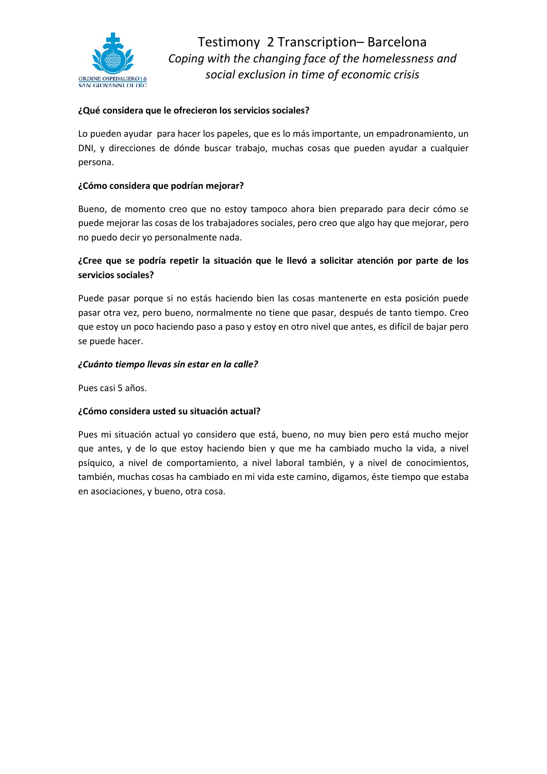

## **¿Qué considera que le ofrecieron los servicios sociales?**

Lo pueden ayudar para hacer los papeles, que es lo más importante, un empadronamiento, un DNI, y direcciones de dónde buscar trabajo, muchas cosas que pueden ayudar a cualquier persona.

#### **¿Cómo considera que podrían mejorar?**

Bueno, de momento creo que no estoy tampoco ahora bien preparado para decir cómo se puede mejorar las cosas de los trabajadores sociales, pero creo que algo hay que mejorar, pero no puedo decir yo personalmente nada.

## **¿Cree que se podría repetir la situación que le llevó a solicitar atención por parte de los servicios sociales?**

Puede pasar porque si no estás haciendo bien las cosas mantenerte en esta posición puede pasar otra vez, pero bueno, normalmente no tiene que pasar, después de tanto tiempo. Creo que estoy un poco haciendo paso a paso y estoy en otro nivel que antes, es difícil de bajar pero se puede hacer.

#### *¿Cuánto tiempo llevas sin estar en la calle?*

Pues casi 5 años.

#### **¿Cómo considera usted su situación actual?**

Pues mi situación actual yo considero que está, bueno, no muy bien pero está mucho mejor que antes, y de lo que estoy haciendo bien y que me ha cambiado mucho la vida, a nivel psíquico, a nivel de comportamiento, a nivel laboral también, y a nivel de conocimientos, también, muchas cosas ha cambiado en mi vida este camino, digamos, éste tiempo que estaba en asociaciones, y bueno, otra cosa.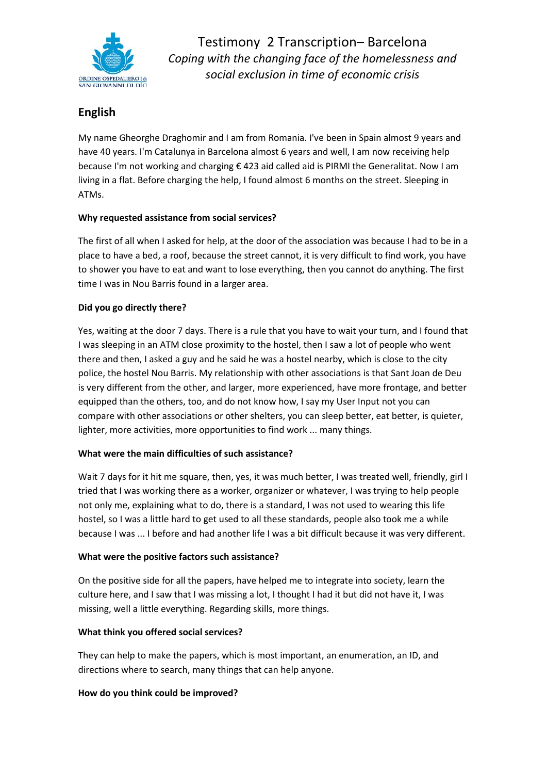

# **English**

My name Gheorghe Draghomir and I am from Romania. I've been in Spain almost 9 years and have 40 years. I'm Catalunya in Barcelona almost 6 years and well, I am now receiving help because I'm not working and charging € 423 aid called aid is PIRMI the Generalitat. Now I am living in a flat. Before charging the help, I found almost 6 months on the street. Sleeping in ATMs.

## **Why requested assistance from social services?**

The first of all when I asked for help, at the door of the association was because I had to be in a place to have a bed, a roof, because the street cannot, it is very difficult to find work, you have to shower you have to eat and want to lose everything, then you cannot do anything. The first time I was in Nou Barris found in a larger area.

## **Did you go directly there?**

Yes, waiting at the door 7 days. There is a rule that you have to wait your turn, and I found that I was sleeping in an ATM close proximity to the hostel, then I saw a lot of people who went there and then, I asked a guy and he said he was a hostel nearby, which is close to the city police, the hostel Nou Barris. My relationship with other associations is that Sant Joan de Deu is very different from the other, and larger, more experienced, have more frontage, and better equipped than the others, too, and do not know how, I say my User Input not you can compare with other associations or other shelters, you can sleep better, eat better, is quieter, lighter, more activities, more opportunities to find work ... many things.

## **What were the main difficulties of such assistance?**

Wait 7 days for it hit me square, then, yes, it was much better, I was treated well, friendly, girl I tried that I was working there as a worker, organizer or whatever, I was trying to help people not only me, explaining what to do, there is a standard, I was not used to wearing this life hostel, so I was a little hard to get used to all these standards, people also took me a while because I was ... I before and had another life I was a bit difficult because it was very different.

## **What were the positive factors such assistance?**

On the positive side for all the papers, have helped me to integrate into society, learn the culture here, and I saw that I was missing a lot, I thought I had it but did not have it, I was missing, well a little everything. Regarding skills, more things.

## **What think you offered social services?**

They can help to make the papers, which is most important, an enumeration, an ID, and directions where to search, many things that can help anyone.

## **How do you think could be improved?**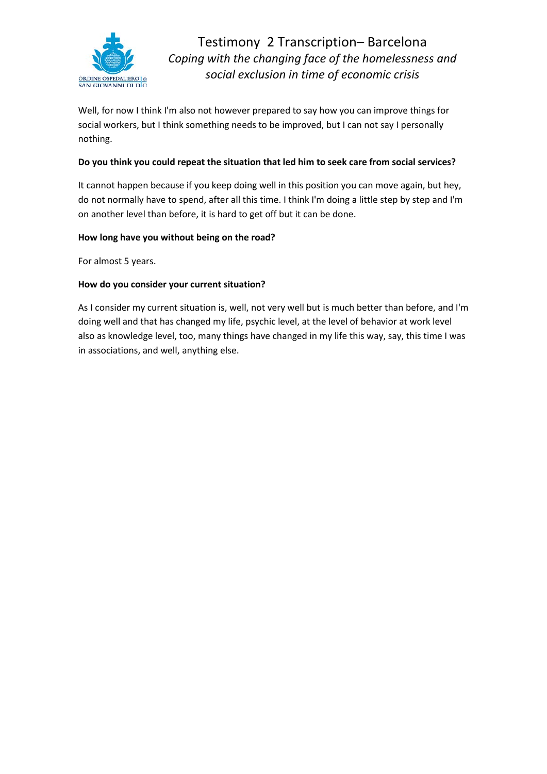

Well, for now I think I'm also not however prepared to say how you can improve things for social workers, but I think something needs to be improved, but I can not say I personally nothing.

#### **Do you think you could repeat the situation that led him to seek care from social services?**

It cannot happen because if you keep doing well in this position you can move again, but hey, do not normally have to spend, after all this time. I think I'm doing a little step by step and I'm on another level than before, it is hard to get off but it can be done.

#### **How long have you without being on the road?**

For almost 5 years.

#### **How do you consider your current situation?**

As I consider my current situation is, well, not very well but is much better than before, and I'm doing well and that has changed my life, psychic level, at the level of behavior at work level also as knowledge level, too, many things have changed in my life this way, say, this time I was in associations, and well, anything else.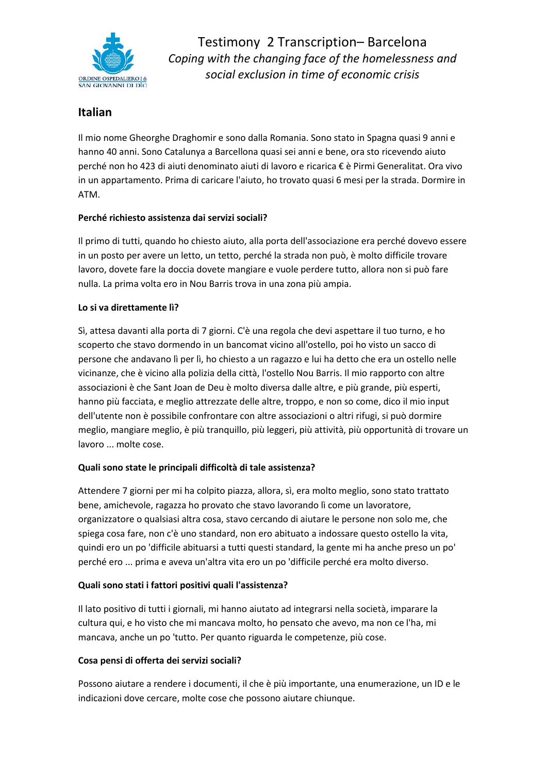

## **Italian**

Il mio nome Gheorghe Draghomir e sono dalla Romania. Sono stato in Spagna quasi 9 anni e hanno 40 anni. Sono Catalunya a Barcellona quasi sei anni e bene, ora sto ricevendo aiuto perché non ho 423 di aiuti denominato aiuti di lavoro e ricarica € è Pirmi Generalitat. Ora vivo in un appartamento. Prima di caricare l'aiuto, ho trovato quasi 6 mesi per la strada. Dormire in ATM.

## **Perché richiesto assistenza dai servizi sociali?**

Il primo di tutti, quando ho chiesto aiuto, alla porta dell'associazione era perché dovevo essere in un posto per avere un letto, un tetto, perché la strada non può, è molto difficile trovare lavoro, dovete fare la doccia dovete mangiare e vuole perdere tutto, allora non si può fare nulla. La prima volta ero in Nou Barris trova in una zona più ampia.

## **Lo si va direttamente lì?**

Sì, attesa davanti alla porta di 7 giorni. C'è una regola che devi aspettare il tuo turno, e ho scoperto che stavo dormendo in un bancomat vicino all'ostello, poi ho visto un sacco di persone che andavano lì per lì, ho chiesto a un ragazzo e lui ha detto che era un ostello nelle vicinanze, che è vicino alla polizia della città, l'ostello Nou Barris. Il mio rapporto con altre associazioni è che Sant Joan de Deu è molto diversa dalle altre, e più grande, più esperti, hanno più facciata, e meglio attrezzate delle altre, troppo, e non so come, dico il mio input dell'utente non è possibile confrontare con altre associazioni o altri rifugi, si può dormire meglio, mangiare meglio, è più tranquillo, più leggeri, più attività, più opportunità di trovare un lavoro ... molte cose.

## **Quali sono state le principali difficoltà di tale assistenza?**

Attendere 7 giorni per mi ha colpito piazza, allora, sì, era molto meglio, sono stato trattato bene, amichevole, ragazza ho provato che stavo lavorando lì come un lavoratore, organizzatore o qualsiasi altra cosa, stavo cercando di aiutare le persone non solo me, che spiega cosa fare, non c'è uno standard, non ero abituato a indossare questo ostello la vita, quindi ero un po 'difficile abituarsi a tutti questi standard, la gente mi ha anche preso un po' perché ero ... prima e aveva un'altra vita ero un po 'difficile perché era molto diverso.

## **Quali sono stati i fattori positivi quali l'assistenza?**

Il lato positivo di tutti i giornali, mi hanno aiutato ad integrarsi nella società, imparare la cultura qui, e ho visto che mi mancava molto, ho pensato che avevo, ma non ce l'ha, mi mancava, anche un po 'tutto. Per quanto riguarda le competenze, più cose.

## **Cosa pensi di offerta dei servizi sociali?**

Possono aiutare a rendere i documenti, il che è più importante, una enumerazione, un ID e le indicazioni dove cercare, molte cose che possono aiutare chiunque.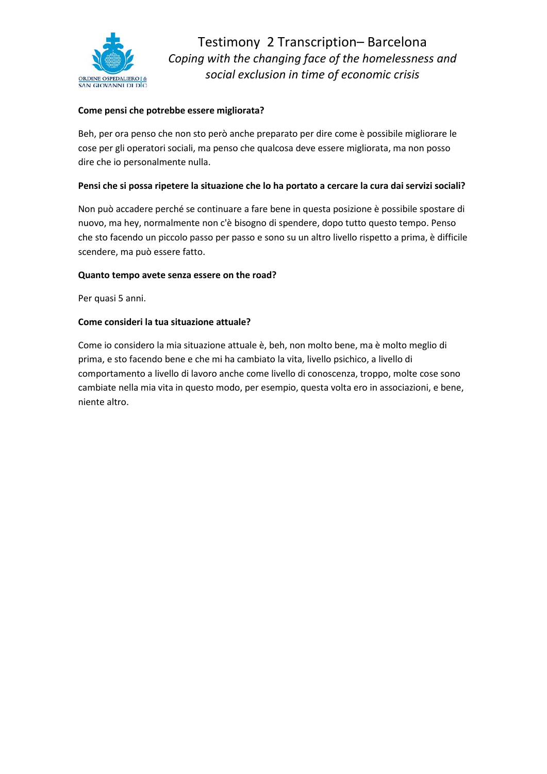

## **Come pensi che potrebbe essere migliorata?**

Beh, per ora penso che non sto però anche preparato per dire come è possibile migliorare le cose per gli operatori sociali, ma penso che qualcosa deve essere migliorata, ma non posso dire che io personalmente nulla.

#### **Pensi che si possa ripetere la situazione che lo ha portato a cercare la cura dai servizi sociali?**

Non può accadere perché se continuare a fare bene in questa posizione è possibile spostare di nuovo, ma hey, normalmente non c'è bisogno di spendere, dopo tutto questo tempo. Penso che sto facendo un piccolo passo per passo e sono su un altro livello rispetto a prima, è difficile scendere, ma può essere fatto.

#### **Quanto tempo avete senza essere on the road?**

Per quasi 5 anni.

#### **Come consideri la tua situazione attuale?**

Come io considero la mia situazione attuale è, beh, non molto bene, ma è molto meglio di prima, e sto facendo bene e che mi ha cambiato la vita, livello psichico, a livello di comportamento a livello di lavoro anche come livello di conoscenza, troppo, molte cose sono cambiate nella mia vita in questo modo, per esempio, questa volta ero in associazioni, e bene, niente altro.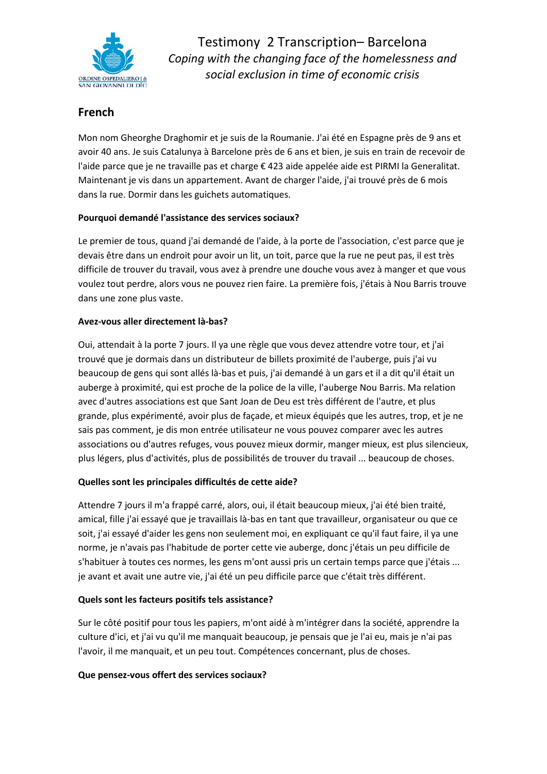

# **French**

Mon nom Gheorghe Draghomir et je suis de la Roumanie. J'ai été en Espagne près de 9 ans et avoir 40 ans. Je suis Catalunya à Barcelone près de 6 ans et bien, je suis en train de recevoir de l'aide parce que je ne travaille pas et charge € 423 aide appelée aide est PIRMI la Generalitat. Maintenant je vis dans un appartement. Avant de charger l'aide, j'ai trouvé près de 6 mois dans la rue. Dormir dans les guichets automatiques.

## **Pourquoi demandé l'assistance des services sociaux?**

Le premier de tous, quand j'ai demandé de l'aide, à la porte de l'association, c'est parce que je devais être dans un endroit pour avoir un lit, un toit, parce que la rue ne peut pas, il est très difficile de trouver du travail, vous avez à prendre une douche vous avez à manger et que vous voulez tout perdre, alors vous ne pouvez rien faire. La première fois, j'étais à Nou Barris trouve dans une zone plus vaste.

## **Avez-vous aller directement là-bas?**

Oui, attendait à la porte 7 jours. Il ya une règle que vous devez attendre votre tour, et j'ai trouvé que je dormais dans un distributeur de billets proximité de l'auberge, puis j'ai vu beaucoup de gens qui sont allés là-bas et puis, j'ai demandé à un gars et il a dit qu'il était un auberge à proximité, qui est proche de la police de la ville, l'auberge Nou Barris. Ma relation avec d'autres associations est que Sant Joan de Deu est très différent de l'autre, et plus grande, plus expérimenté, avoir plus de façade, et mieux équipés que les autres, trop, et je ne sais pas comment, je dis mon entrée utilisateur ne vous pouvez comparer avec les autres associations ou d'autres refuges, vous pouvez mieux dormir, manger mieux, est plus silencieux, plus légers, plus d'activités, plus de possibilités de trouver du travail ... beaucoup de choses.

## **Quelles sont les principales difficultés de cette aide?**

Attendre 7 jours il m'a frappé carré, alors, oui, il était beaucoup mieux, j'ai été bien traité, amical, fille j'ai essayé que je travaillais là-bas en tant que travailleur, organisateur ou que ce soit, j'ai essayé d'aider les gens non seulement moi, en expliquant ce qu'il faut faire, il ya une norme, je n'avais pas l'habitude de porter cette vie auberge, donc j'étais un peu difficile de s'habituer à toutes ces normes, les gens m'ont aussi pris un certain temps parce que j'étais ... je avant et avait une autre vie, j'ai été un peu difficile parce que c'était très différent.

## **Quels sont les facteurs positifs tels assistance?**

Sur le côté positif pour tous les papiers, m'ont aidé à m'intégrer dans la société, apprendre la culture d'ici, et j'ai vu qu'il me manquait beaucoup, je pensais que je l'ai eu, mais je n'ai pas l'avoir, il me manquait, et un peu tout. Compétences concernant, plus de choses.

## **Que pensez-vous offert des services sociaux?**